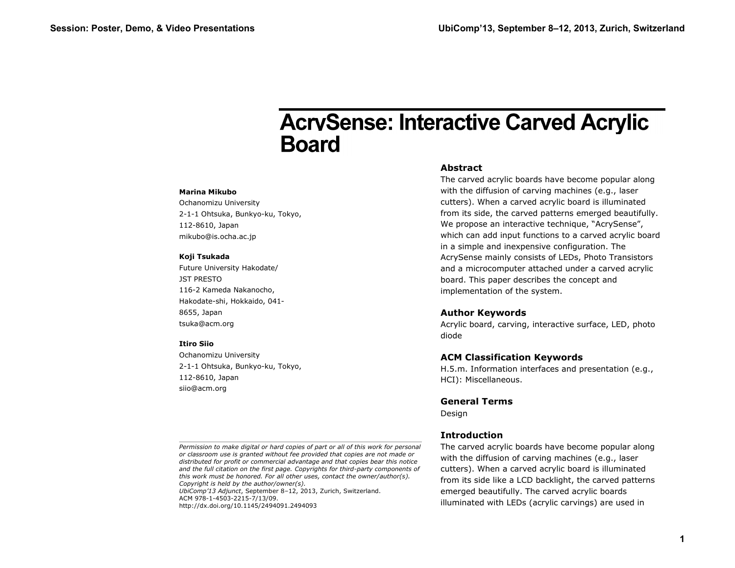#### **Marina Mikubo**

Ochanomizu University 2-1-1 Ohtsuka, Bunkyo-ku, Tokyo, 112-8610, Japan mikubo@is.ocha.ac.jp

#### **Koji Tsukada**

Future University Hakodate/ JST PRESTO 116-2 Kameda Nakanocho, Hakodate-shi, Hokkaido, 041- 8655, Japan tsuka@acm.org

#### **Itiro Siio**

Ochanomizu University 2-1-1 Ohtsuka, Bunkyo-ku, Tokyo, 112-8610, Japan siio@acm.org

#### **Abstract**

The carved acrylic boards have become popular along with the diffusion of carving machines (e.g., laser cutters). When a carved acrylic board is illuminated from its side, the carved patterns emerged beautifully. We propose an interactive technique, "AcrySense", which can add input functions to a carved acrylic board in a simple and inexpensive configuration. The AcrySense mainly consists of LEDs, Photo Transistors and a microcomputer attached under a carved acrylic board. This paper describes the concept and implementation of the system. **Session: Poster, Demo, & Video Presentations**<br> **Session: Poster, Demo, & Video Presentations**<br>
The control of the control of the control of the control of the control of the control of the control of the control of the co

#### **Author Keywords**

Acrylic board, carving, interactive surface, LED, photo diode

#### **ACM Classification Keywords**

H.5.m. Information interfaces and presentation (e.g., HCI): Miscellaneous.

## **General Terms**

Design

## **Introduction**

The carved acrylic boards have become popular along with the diffusion of carving machines (e.g., laser cutters). When a carved acrylic board is illuminated from its side like a LCD backlight, the carved patterns emerged beautifully. The carved acrylic boards illuminated with LEDs (acrylic carvings) are used in

ACM 978-1-4503-2215-7/13/09. http://dx.doi.org/10.1145/2494091.2494093

*Permission to make digital or hard copies of part or all of this work for personal or classroom use is granted without fee provided that copies are not made or distributed for profit or commercial advantage and that copies bear this notice and the full citation on the first page. Copyrights for third-party components of this work must be honored. For all other uses, contact the owner/author(s). Copyright is held by the author/owner(s). UbiComp'13 Adjunct*, September 8–12, 2013, Zurich, Switzerland.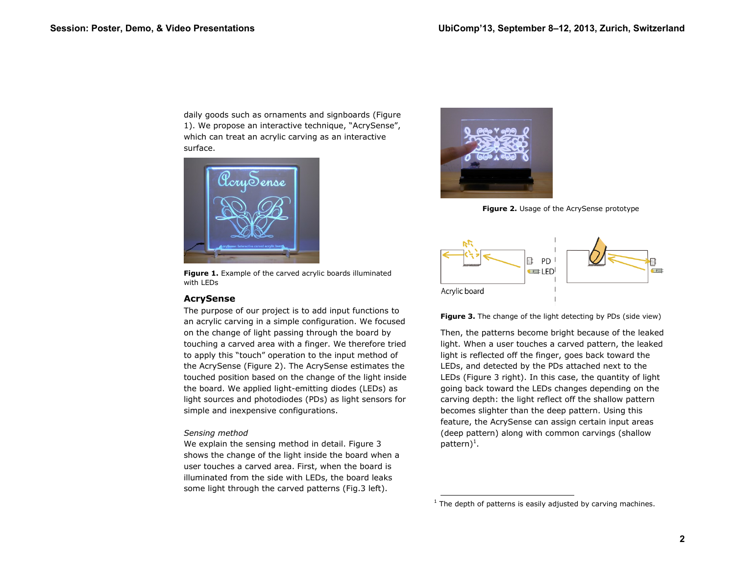daily goods such as ornaments and signboards (Figure 1). We propose an interactive technique, "AcrySense", which can treat an acrylic carving as an interactive surface.



**Figure 1.** Example of the carved acrylic boards illuminated with LEDs

# **AcrySense**

The purpose of our project is to add input functions to an acrylic carving in a simple configuration. We focused on the change of light passing through the board by touching a carved area with a finger. We therefore tried to apply this "touch" operation to the input method of the AcrySense (Figure 2). The AcrySense estimates the touched position based on the change of the light inside the board. We applied light-emitting diodes (LEDs) as light sources and photodiodes (PDs) as light sensors for simple and inexpensive configurations.

## *Sensing method*

We explain the sensing method in detail. Figure 3 shows the change of the light inside the board when a user touches a carved area. First, when the board is illuminated from the side with LEDs, the board leaks some light through the carved patterns (Fig.3 left).



**Figure 2.** Usage of the AcrySense prototype



**Figure 3.** The change of the light detecting by PDs (side view)

Then, the patterns become bright because of the leaked light. When a user touches a carved pattern, the leaked light is reflected off the finger, goes back toward the LEDs, and detected by the PDs attached next to the LEDs (Figure 3 right). In this case, the quantity of light going back toward the LEDs changes depending on the carving depth: the light reflect off the shallow pattern becomes slighter than the deep pattern. Using this feature, the AcrySense can assign certain input areas (deep pattern) along with common carvings (shallow pattern)<sup>1</sup>. **Session: Poster, Demo, & Video Presentations**<br> **Session: Poster, Demos control and Control and Control and Control and Control and Control and Control and Control and Control and Control and Control and Control and Contro** 

The depth of patterns is easily adjusted by carving machines.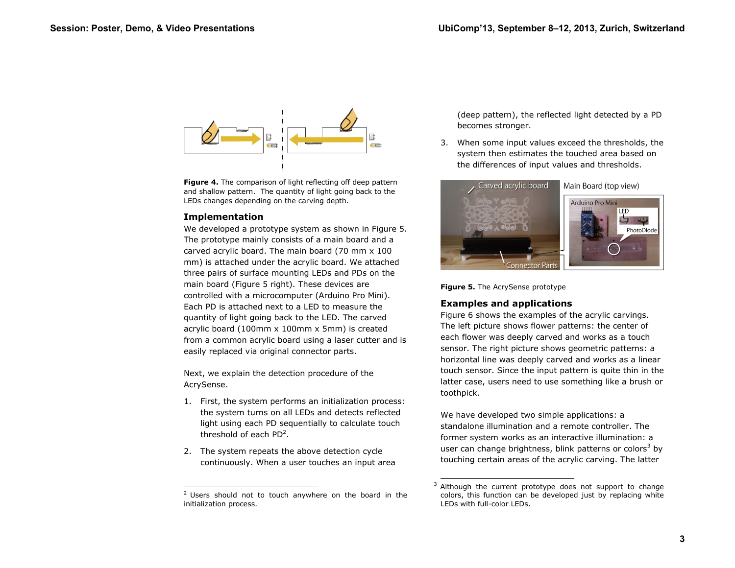

**Figure 4.** The comparison of light reflecting off deep pattern and shallow pattern. The quantity of light going back to the LEDs changes depending on the carving depth.

# **Implementation**

We developed a prototype system as shown in Figure 5. The prototype mainly consists of a main board and a carved acrylic board. The main board (70 mm x 100 mm) is attached under the acrylic board. We attached three pairs of surface mounting LEDs and PDs on the main board (Figure 5 right). These devices are controlled with a microcomputer (Arduino Pro Mini). Each PD is attached next to a LED to measure the quantity of light going back to the LED. The carved acrylic board (100mm x 100mm x 5mm) is created from a common acrylic board using a laser cutter and is easily replaced via original connector parts. **Session: Poster, Demo, & Video Presentations**<br> **Session: Poster, Demo, & Video Presentations**<br> **Example 1.1** a context of Constraint Constraint Constraint Constraint Constraint Constraint Constraint Constraint Constraint

Next, we explain the detection procedure of the AcrySense.

- 1. First, the system performs an initialization process: the system turns on all LEDs and detects reflected light using each PD sequentially to calculate touch threshold of each  $PD^2$ .
- 2. The system repeats the above detection cycle continuously. When a user touches an input area

(deep pattern), the reflected light detected by a PD becomes stronger.

3. When some input values exceed the thresholds, the system then estimates the touched area based on the differences of input values and thresholds.



**Figure 5.** The AcrySense prototype

# **Examples and applications**

ł

Figure 6 shows the examples of the acrylic carvings. The left picture shows flower patterns: the center of each flower was deeply carved and works as a touch sensor. The right picture shows geometric patterns: a horizontal line was deeply carved and works as a linear touch sensor. Since the input pattern is quite thin in the latter case, users need to use something like a brush or toothpick.

We have developed two simple applications: a standalone illumination and a remote controller. The former system works as an interactive illumination: a user can change brightness, blink patterns or colors<sup>3</sup> by touching certain areas of the acrylic carving. The latter

 $\overline{a}$  Users should not to touch anywhere on the board in the initialization process.

<sup>3</sup> Although the current prototype does not support to change colors, this function can be developed just by replacing white LEDs with full-color LEDs.